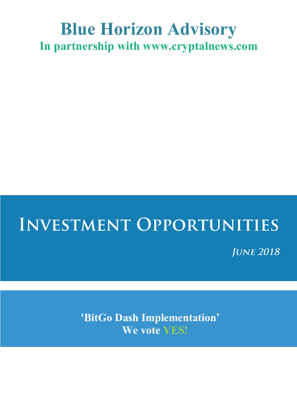## **Blue Horizon Advisory In partnership with www.cryptalnews.com**

## **INVESTMENT OPPORTUNITIES**

**JUNE 2018** 

**'BitGo Dash Implementation' We vote YES!**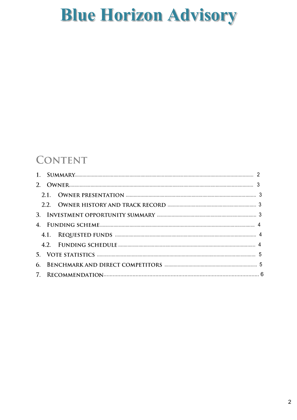### **CONTENT**

| 6. |  |  |  |  |
|----|--|--|--|--|
|    |  |  |  |  |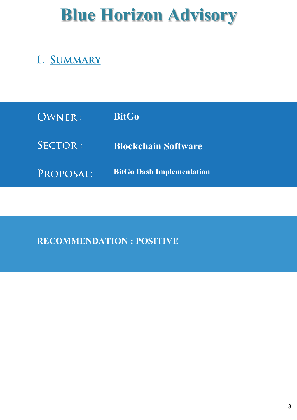### 1. SUMMARY

| OWNER:    | <b>BitGo</b>                     |
|-----------|----------------------------------|
| SECTOR:   | <b>Blockchain Software</b>       |
| PROPOSAL: | <b>BitGo Dash Implementation</b> |

### **RECOMMENDATION : POSITIVE**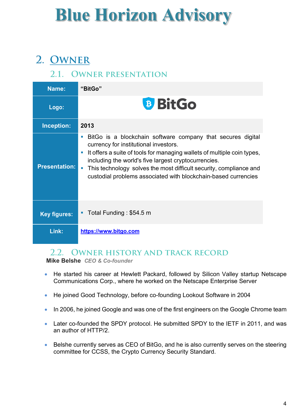## 2. OWNER

#### 2.1. OWNER PRESENTATION

| Name:                | "BitGo"                                                                                                                                                                                                                                                                                                                                                                                   |  |  |  |
|----------------------|-------------------------------------------------------------------------------------------------------------------------------------------------------------------------------------------------------------------------------------------------------------------------------------------------------------------------------------------------------------------------------------------|--|--|--|
| Logo:                | <b>BitGo</b>                                                                                                                                                                                                                                                                                                                                                                              |  |  |  |
| Inception:           | 2013                                                                                                                                                                                                                                                                                                                                                                                      |  |  |  |
| <b>Presentation:</b> | BitGo is a blockchain software company that secures digital<br>×<br>currency for institutional investors.<br>It offers a suite of tools for managing wallets of multiple coin types,<br>×<br>including the world's five largest cryptocurrencies.<br>This technology solves the most difficult security, compliance and<br>custodial problems associated with blockchain-based currencies |  |  |  |
| <b>Key figures:</b>  | Total Funding: \$54.5 m                                                                                                                                                                                                                                                                                                                                                                   |  |  |  |
| Link:                | https://www.bitgo.com                                                                                                                                                                                                                                                                                                                                                                     |  |  |  |

#### 2.2. OWNER HISTORY AND TRACK RECORD

**Mike Belshe** *CEO & Co-founder*

- He started his career at Hewlett Packard, followed by Silicon Valley startup Netscape Communications Corp., where he worked on the Netscape Enterprise Server
- He joined Good Technology, before co-founding Lookout Software in 2004
- In 2006, he joined Google and was one of the first engineers on the Google Chrome team
- Later co-founded the SPDY protocol. He submitted SPDY to the IETF in 2011, and was an author of HTTP/2.
- Belshe currently serves as CEO of BitGo, and he is also currently serves on the steering committee for CCSS, the Crypto Currency Security Standard.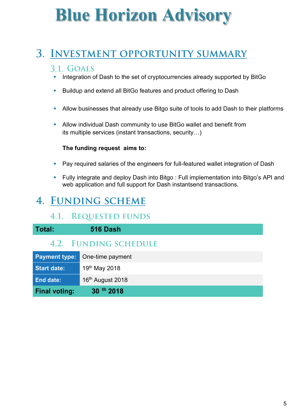### 3. INVESTMENT OPPORTUNITY SUMMARY

#### 3.1. GOALS

- Integration of Dash to the set of cryptocurrencies already supported by BitGo
- Buildup and extend all BitGo features and product offering to Dash
- **Allow businesses that already use Bitgo suite of tools to add Dash to their platforms**
- **Allow individual Dash community to use BitGo wallet and benefit from** its multiple services (instant transactions, security…)

#### **The funding request aims to:**

- Pay required salaries of the engineers for full-featured wallet integration of Dash
- § Fully integrate and deploy Dash into Bitgo : Full implementation into Bitgo's API and web application and full support for Dash instantsend transactions.

### 4. FUNDING SCHEME

#### **4.1. REQUESTED FUNDS**

| Total:               | <b>516 Dash</b>       |
|----------------------|-----------------------|
|                      | 4.2. FUNDING SCHEDULE |
| <b>Payment type:</b> | One-time payment      |
| <b>Start date:</b>   | 19th May 2018         |
| <b>End date:</b>     | 16th August 2018      |
| <b>Final voting:</b> | 30 th 2018            |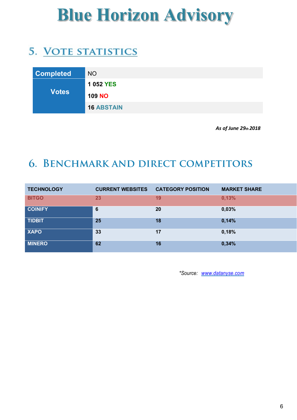### 5. VOTE STATISTICS

| <b>Completed</b> | <b>NO</b>         |
|------------------|-------------------|
|                  | 1 052 YES         |
| <b>Votes</b>     | <b>109 NO</b>     |
|                  | <b>16 ABSTAIN</b> |

 *As of June 29th 2018* 

### **6. BENCHMARK AND DIRECT COMPETITORS**

| <b>TECHNOLOGY</b> | <b>CURRENT WEBSITES</b> | <b>CATEGORY POSITION</b> | <b>MARKET SHARE</b> |
|-------------------|-------------------------|--------------------------|---------------------|
| <b>BITGO</b>      | 23                      | 19                       | 0,13%               |
| <b>COINIFY</b>    | 6                       | 20                       | 0,03%               |
| <b>TIDBIT</b>     | 25                      | 18                       | 0,14%               |
| <b>XAPO</b>       | 33                      | 17                       | 0,18%               |
| <b>MINERO</b>     | 62                      | 16                       | 0,34%               |

*\*Source: www.datanyse.com*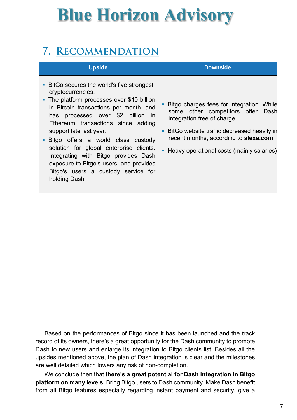### 7. RECOMMENDATION

- BitGo secures the world's five strongest cryptocurrencies.
- The platform processes over \$10 billion in Bitcoin transactions per month, and has processed over \$2 billion in Ethereum transactions since adding support late last year.
- Bitgo offers a world class custody solution for global enterprise clients. Integrating with Bitgo provides Dash exposure to Bitgo's users, and provides Bitgo's users a custody service for holding Dash

#### **Upside Downside**

- **Bitgo charges fees for integration. While** some other competitors offer Dash integration free of charge.
- BitGo website traffic decreased heavily in recent months, according to **alexa.com**
- Heavy operational costs (mainly salaries)

Based on the performances of Bitgo since it has been launched and the track record of its owners, there's a great opportunity for the Dash community to promote Dash to new users and enlarge its integration to Bitgo clients list. Besides all the upsides mentioned above, the plan of Dash integration is clear and the milestones are well detailed which lowers any risk of non-completion.

We conclude then that **there's a great potential for Dash integration in Bitgo platform on many levels**: Bring Bitgo users to Dash community, Make Dash benefit from all Bitgo features especially regarding instant payment and security, give a